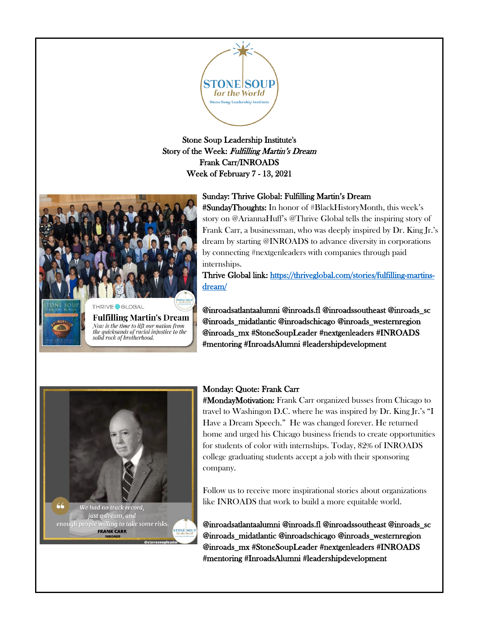

Stone Soup Leadership Institute's Story of the Week: Fulfilling Martin's Dream Frank Carr/INROADS Week of February 7 - 13, 2021



**Fulfilling Martin's Dream** Now is the time to lift our nation from the quicksands of racial injustice to the solid rock of brotherhood.

#### Sunday: Thrive Global: Fulfilling Martin's Dream

#SundayThoughts: In honor of #BlackHistoryMonth, this week's story on @AriannaHuff's @Thrive Global tells the inspiring story of Frank Carr, a businessman, who was deeply inspired by Dr. King Jr.'s dream by starting @INROADS to advance diversity in corporations by connecting #nextgenleaders with companies through paid internships.

Thrive Global link: [https://thriveglobal.com/stories/fulfilling-martins](https://thriveglobal.com/stories/fulfilling-martins-dream/)[dream/](https://thriveglobal.com/stories/fulfilling-martins-dream/) 

@inroadsatlantaalumni @inroads.fl @inroadssoutheast @inroads\_sc @inroads\_midatlantic @inroadschicago @inroads\_westernregion @inroads\_mx #StoneSoupLeader #nextgenleaders #INROADS #mentoring #InroadsAlumni #leadershipdevelopment



#### Monday: Quote: Frank Carr

**#MondayMotivation:** Frank Carr organized busses from Chicago to travel to Washingon D.C. where he was inspired by Dr. King Jr.'s "I Have a Dream Speech." He was changed forever. He returned home and urged his Chicago business friends to create opportunities for students of color with internships. Today, 82% of INROADS college graduating students accept a job with their sponsoring company.

Follow us to receive more inspirational stories about organizations like INROADS that work to build a more equitable world.

@inroadsatlantaalumni @inroads.fl @inroadssoutheast @inroads\_sc @inroads\_midatlantic @inroadschicago @inroads\_westernregion @inroads\_mx #StoneSoupLeader #nextgenleaders #INROADS #mentoring #InroadsAlumni #leadershipdevelopment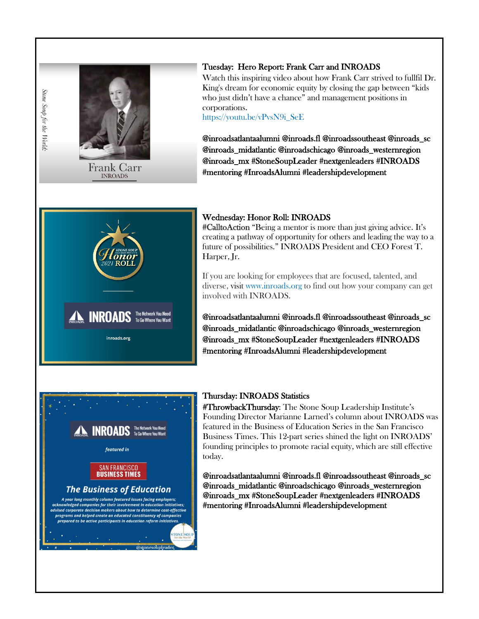

Stone Soup for the World.

## Tuesday: Hero Report: Frank Carr and INROADS

Watch this inspiring video about how Frank Carr strived to fullfil Dr. King's dream for economic equity by closing the gap between "kids who just didn't have a chance" and management positions in corporations.

[https://youtu.be/vPvsN9i\\_SeE](https://youtu.be/vPvsN9i_SeE)

@inroadsatlantaalumni @inroads.fl @inroadssoutheast @inroads\_sc @inroads\_midatlantic @inroadschicago @inroads\_westernregion @inroads\_mx #StoneSoupLeader #nextgenleaders #INROADS #mentoring #InroadsAlumni #leadershipdevelopment



### Wednesday: Honor Roll: INROADS

#CalltoAction "Being a mentor is more than just giving advice. It's creating a pathway of opportunity for others and leading the way to a future of possibilities." INROADS President and CEO Forest T. Harper, Jr.

If you are looking for employees that are focused, talented, and diverse, visit [www.inroads.org](http://www.inroads.org/) to find out how your company can get involved with INROADS.

@inroadsatlantaalumni @inroads.fl @inroadssoutheast @inroads\_sc @inroads\_midatlantic @inroadschicago @inroads\_westernregion @inroads\_mx #StoneSoupLeader #nextgenleaders #INROADS #mentoring #InroadsAlumni #leadershipdevelopment



#### Thursday: INROADS Statistics

#ThrowbackThursday: The Stone Soup Leadership Institute's Founding Director Marianne Larned's column about INROADS was featured in the Business of Education Series in the San Francisco Business Times. This 12-part series shined the light on INROADS' founding principles to promote racial equity, which are still effective today.

@inroadsatlantaalumni @inroads.fl @inroadssoutheast @inroads\_sc @inroads\_midatlantic @inroadschicago @inroads\_westernregion @inroads\_mx #StoneSoupLeader #nextgenleaders #INROADS #mentoring #InroadsAlumni #leadershipdevelopment